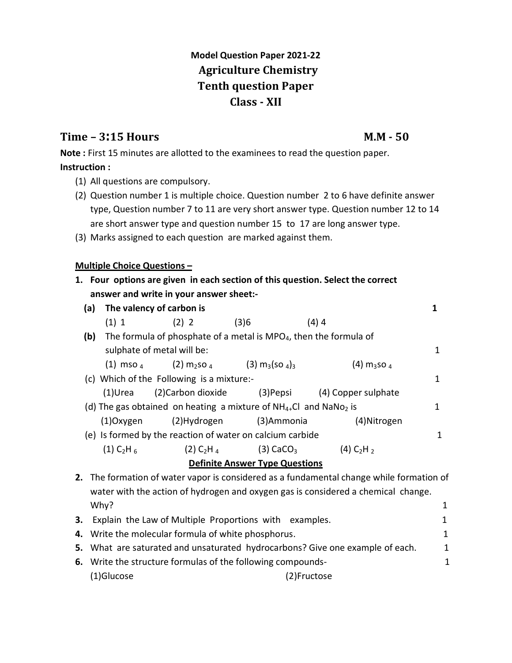# **Model Question Paper 2021-22 Agriculture Chemistry Tenth question Paper Class - XII**

## **Time – 3:15 Hours M.M - 50**

**Note :** First 15 minutes are allotted to the examinees to read the question paper. **Instruction :**

- (1) All questions are compulsory.
- (2) Question number 1 is multiple choice. Question number 2 to 6 have definite answer type, Question number 7 to 11 are very short answer type. Question number 12 to 14 are short answer type and question number 15 to 17 are long answer type.
- (3) Marks assigned to each question are marked against them.

## **Multiple Choice Questions –**

|     |                                     | The valency of carbon is                                                           |                                                             |                                      |   |
|-----|-------------------------------------|------------------------------------------------------------------------------------|-------------------------------------------------------------|--------------------------------------|---|
|     |                                     | $(1) 1$ $(2) 2$                                                                    | (3)6                                                        | (4)4                                 |   |
| (b) |                                     | The formula of phosphate of a metal is MPO <sub>4</sub> , then the formula of      |                                                             |                                      |   |
|     | sulphate of metal will be:          |                                                                                    |                                                             |                                      |   |
|     |                                     | (1) mso $_4$ (2) m <sub>2</sub> so $_4$ (3) m <sub>3</sub> (so $_4$ ) <sub>3</sub> |                                                             | $(4)$ m <sub>3</sub> so <sub>4</sub> |   |
|     |                                     | (c) Which of the Following is a mixture:-                                          |                                                             |                                      | 1 |
|     | (1)Urea                             | (2)Carbon dioxide                                                                  |                                                             | (3) Pepsi (4) Copper sulphate        |   |
|     |                                     | (d) The gas obtained on heating a mixture of $NH_{4+}Cl$ and $NaNO_2$ is           |                                                             |                                      | 1 |
|     |                                     | (1)Oxygen (2)Hydrogen (3)Ammonia                                                   |                                                             | (4) Nitrogen                         |   |
|     |                                     | (e) Is formed by the reaction of water on calcium carbide                          |                                                             |                                      | 1 |
|     | $(1)$ C <sub>2</sub> H <sub>6</sub> |                                                                                    | $(2)$ C <sub>2</sub> H <sub>4</sub> $(3)$ CaCO <sub>3</sub> | (4) $C_2H_2$                         |   |
|     |                                     |                                                                                    | <b>Definite Answer Type Questions</b>                       |                                      |   |

Why? 1 **3.** Explain the Law of Multiple Proportions with examples. The same state of 1 **4.** Write the molecular formula of white phosphorus. The mode of the mode of  $\frac{1}{1}$ **5.** What are saturated and unsaturated hydrocarbons? Give one example of each. 1 **6.** Write the structure formulas of the following compounds- 1 (1)Glucose (2)Fructose